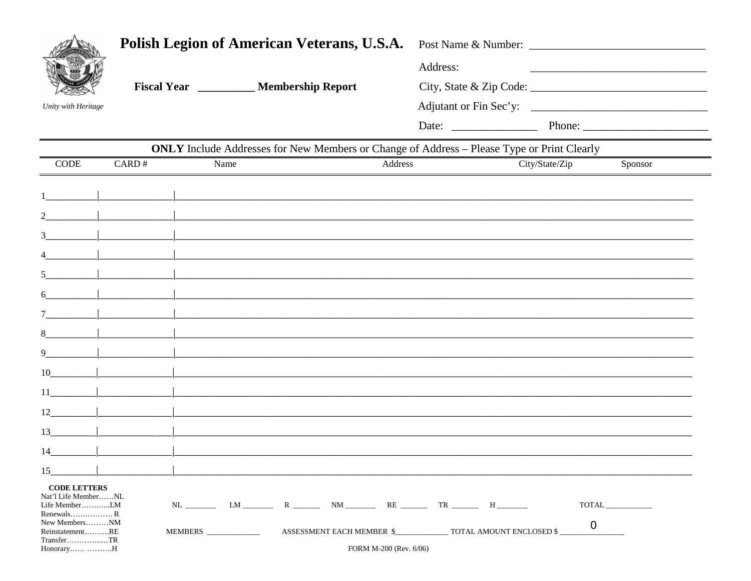|                                              | <b>Polish Legion of American Veterans, U.S.A.</b> |      |                                                                                                                     |                            | Post Name & Number: |                          |                |                                                             |
|----------------------------------------------|---------------------------------------------------|------|---------------------------------------------------------------------------------------------------------------------|----------------------------|---------------------|--------------------------|----------------|-------------------------------------------------------------|
|                                              | Fiscal Year __________ Membership Report          |      |                                                                                                                     |                            | Address:            |                          |                | <u> 1989 - Johann Barbara, martxa al III-lea (h. 1989).</u> |
|                                              |                                                   |      |                                                                                                                     |                            |                     |                          |                |                                                             |
| Unity with Heritage                          |                                                   |      |                                                                                                                     |                            |                     |                          |                |                                                             |
|                                              |                                                   |      |                                                                                                                     |                            |                     |                          |                |                                                             |
|                                              |                                                   |      | ONLY Include Addresses for New Members or Change of Address - Please Type or Print Clearly                          |                            |                     |                          |                |                                                             |
| <b>CODE</b>                                  | CARD#                                             | Name |                                                                                                                     | Address                    |                     |                          | City/State/Zip | Sponsor                                                     |
|                                              |                                                   |      |                                                                                                                     |                            |                     |                          |                |                                                             |
|                                              |                                                   |      |                                                                                                                     |                            |                     |                          |                |                                                             |
|                                              |                                                   |      | <u> 1980 - Jan Samuel Barbara, margaret e populari e populari e populari e populari e populari e populari e pop</u> |                            |                     |                          |                |                                                             |
|                                              |                                                   |      |                                                                                                                     |                            |                     |                          |                |                                                             |
| 5 <sup>1</sup>                               |                                                   |      |                                                                                                                     |                            |                     |                          |                |                                                             |
| 6                                            |                                                   |      |                                                                                                                     |                            |                     |                          |                |                                                             |
|                                              |                                                   |      |                                                                                                                     |                            |                     |                          |                |                                                             |
| 8                                            |                                                   |      | <u> 1980 - Jan Barbara, margaretar margolaria (h. 1982).</u>                                                        |                            |                     |                          |                |                                                             |
| 9                                            |                                                   |      |                                                                                                                     |                            |                     |                          |                |                                                             |
| 10                                           |                                                   |      | <u> 1980 - Johann Johann Stone, mars et al. (</u>                                                                   |                            |                     |                          |                |                                                             |
| $11$ $ $                                     |                                                   |      |                                                                                                                     |                            |                     |                          |                |                                                             |
| $12$                                         |                                                   |      |                                                                                                                     |                            |                     |                          |                |                                                             |
| 13                                           |                                                   |      |                                                                                                                     |                            |                     |                          |                |                                                             |
| 14                                           |                                                   |      |                                                                                                                     |                            |                     |                          |                |                                                             |
| 15                                           |                                                   |      |                                                                                                                     |                            |                     |                          |                |                                                             |
| <b>CODE LETTERS</b><br>Nat'l Life MemberNL   |                                                   |      |                                                                                                                     |                            |                     |                          |                |                                                             |
| Life MemberLM<br>Renewals R<br>New MembersNM |                                                   |      |                                                                                                                     |                            |                     | $RE$ $TR$ $H$            |                | TOTAL_                                                      |
| ReinstatementRE<br>$Transfer$ $TR$           |                                                   |      |                                                                                                                     | ASSESSMENT EACH MEMBER \$_ |                     | TOTAL AMOUNT ENCLOSED \$ | 0              |                                                             |
| HonoraryH                                    |                                                   |      |                                                                                                                     | FORM M-200 (Rev. 6/06)     |                     |                          |                |                                                             |